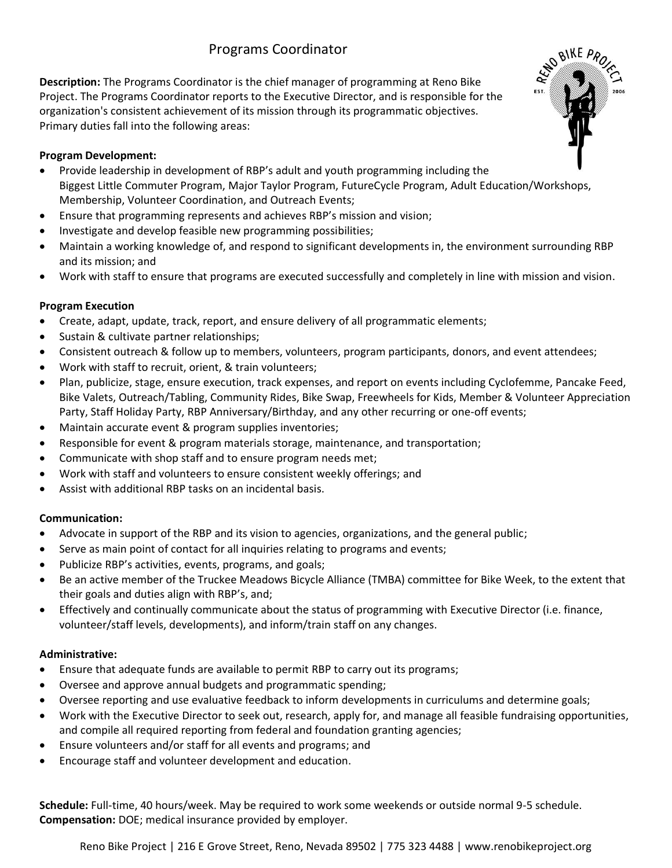# Programs Coordinator

**Description:** The Programs Coordinator is the chief manager of programming at Reno Bike Project. The Programs Coordinator reports to the Executive Director, and is responsible for the organization's consistent achievement of its mission through its programmatic objectives. Primary duties fall into the following areas:

### **Program Development:**

- Provide leadership in development of RBP's adult and youth programming including the Biggest Little Commuter Program, Major Taylor Program, FutureCycle Program, Adult Education/Workshops, Membership, Volunteer Coordination, and Outreach Events;
- Ensure that programming represents and achieves RBP's mission and vision;
- Investigate and develop feasible new programming possibilities;
- Maintain a working knowledge of, and respond to significant developments in, the environment surrounding RBP and its mission; and
- Work with staff to ensure that programs are executed successfully and completely in line with mission and vision.

# **Program Execution**

- Create, adapt, update, track, report, and ensure delivery of all programmatic elements;
- Sustain & cultivate partner relationships;
- Consistent outreach & follow up to members, volunteers, program participants, donors, and event attendees;
- Work with staff to recruit, orient, & train volunteers;
- Plan, publicize, stage, ensure execution, track expenses, and report on events including Cyclofemme, Pancake Feed, Bike Valets, Outreach/Tabling, Community Rides, Bike Swap, Freewheels for Kids, Member & Volunteer Appreciation Party, Staff Holiday Party, RBP Anniversary/Birthday, and any other recurring or one-off events;
- Maintain accurate event & program supplies inventories;
- Responsible for event & program materials storage, maintenance, and transportation;
- Communicate with shop staff and to ensure program needs met;
- Work with staff and volunteers to ensure consistent weekly offerings; and
- Assist with additional RBP tasks on an incidental basis.

# **Communication:**

- Advocate in support of the RBP and its vision to agencies, organizations, and the general public;
- Serve as main point of contact for all inquiries relating to programs and events;
- Publicize RBP's activities, events, programs, and goals;
- Be an active member of the Truckee Meadows Bicycle Alliance (TMBA) committee for Bike Week, to the extent that their goals and duties align with RBP's, and;
- Effectively and continually communicate about the status of programming with Executive Director (i.e. finance, volunteer/staff levels, developments), and inform/train staff on any changes.

#### **Administrative:**

- Ensure that adequate funds are available to permit RBP to carry out its programs;
- Oversee and approve annual budgets and programmatic spending;
- Oversee reporting and use evaluative feedback to inform developments in curriculums and determine goals;
- Work with the Executive Director to seek out, research, apply for, and manage all feasible fundraising opportunities, and compile all required reporting from federal and foundation granting agencies;
- Ensure volunteers and/or staff for all events and programs; and
- Encourage staff and volunteer development and education.

**Schedule:** Full-time, 40 hours/week. May be required to work some weekends or outside normal 9-5 schedule. **Compensation:** DOE; medical insurance provided by employer.